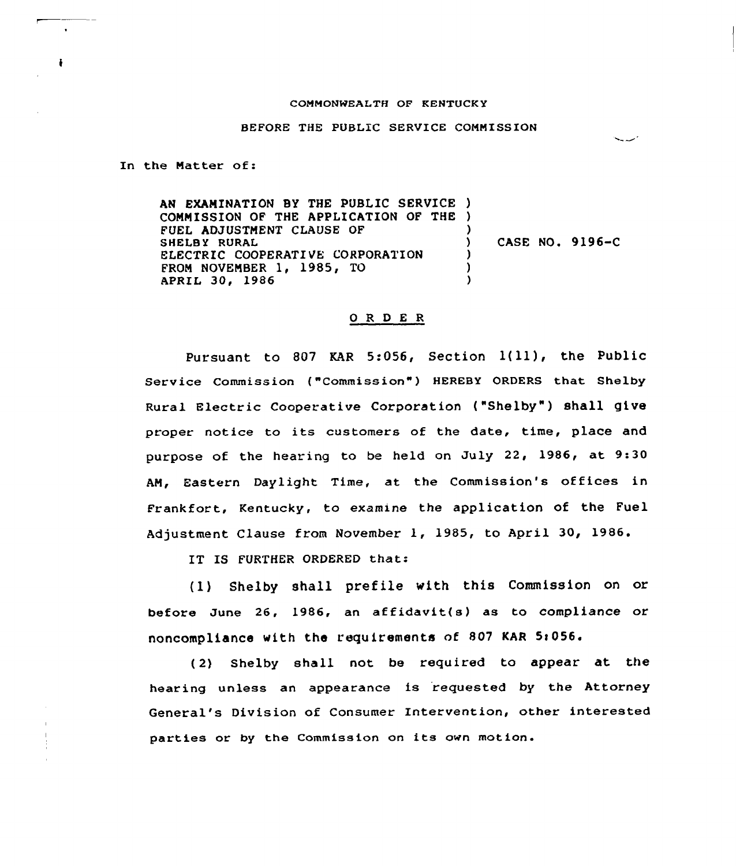## CONNONWEALTH OF KENTUCKY

## BEFORE THE PUBLIC SERVICE CONNISS ION

أسديبة

In the Natter of:

AN EXAMINATION BY THE PUBLIC SERVICE ) COMMISSION OF THE APPLICATION OF THE ) FUEL ADJUSTMENT CLAUSE OF SHELBY RURAL ELECTRIC COOPERATIVE CORPORATION FROM NOVEMBER 1, 1985, TO APRIL 30, 1986 ) ) CASE NO. 9196-C ) ) )

## O R D E R

Pursuant to 807 KAR 5:056, Section  $1(11)$ , the Public Service Commission ("Commission" ) HEREBY ORDERS that Shelby Rural Electric Cooperative Corporation ("Shelby" ) shall give proper notice to its customers of the date, time, place and purpose of the hearing to be held on July 22, 1986, at 9:30 AM, Eastern Daylight Time, at the Commission's offices in Frankfort, Kentucky, to examine the application of the Fuel Adjustment Clause from November 1, 1985, to April 30, 1986.

IT IS FURTHER ORDERED that:

(1) Shelby shall prefile with this Commission on or before June 26, 1986, an affidavit(s) as to compliance or noncompliance with the requirements of 807 KAR St056.

( 2) Shelby shall not be required to appear at the hearing unless an appearance is requested by the Attorney General's Division of Consumer Intervention, other interested parties or by the Commission on its own motion.